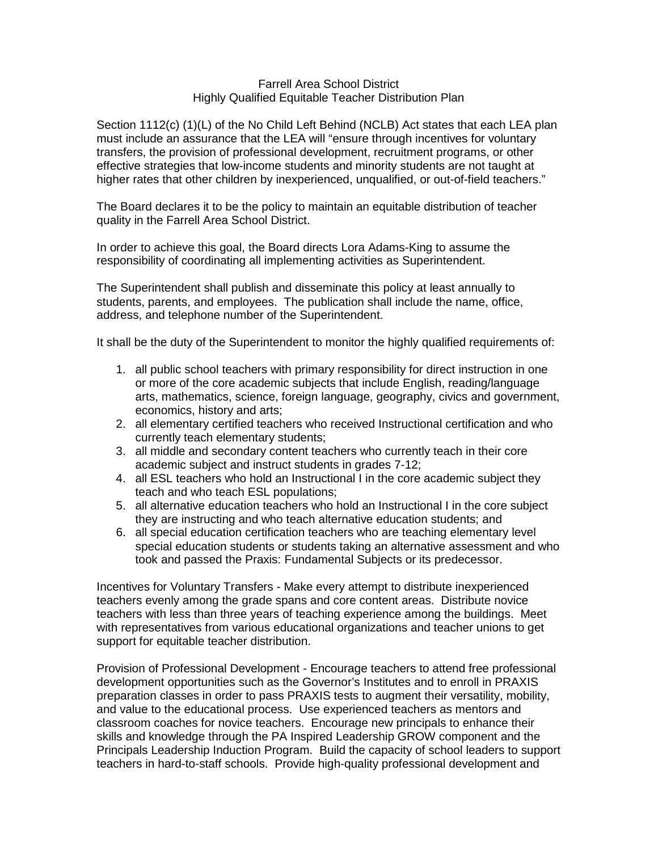## Farrell Area School District Highly Qualified Equitable Teacher Distribution Plan

Section 1112(c) (1)(L) of the No Child Left Behind (NCLB) Act states that each LEA plan must include an assurance that the LEA will "ensure through incentives for voluntary transfers, the provision of professional development, recruitment programs, or other effective strategies that low-income students and minority students are not taught at higher rates that other children by inexperienced, unqualified, or out-of-field teachers."

The Board declares it to be the policy to maintain an equitable distribution of teacher quality in the Farrell Area School District.

In order to achieve this goal, the Board directs Lora Adams-King to assume the responsibility of coordinating all implementing activities as Superintendent.

The Superintendent shall publish and disseminate this policy at least annually to students, parents, and employees. The publication shall include the name, office, address, and telephone number of the Superintendent.

It shall be the duty of the Superintendent to monitor the highly qualified requirements of:

- 1. all public school teachers with primary responsibility for direct instruction in one or more of the core academic subjects that include English, reading/language arts, mathematics, science, foreign language, geography, civics and government, economics, history and arts;
- 2. all elementary certified teachers who received Instructional certification and who currently teach elementary students;
- 3. all middle and secondary content teachers who currently teach in their core academic subject and instruct students in grades 7-12;
- 4. all ESL teachers who hold an Instructional I in the core academic subject they teach and who teach ESL populations;
- 5. all alternative education teachers who hold an Instructional I in the core subject they are instructing and who teach alternative education students; and
- 6. all special education certification teachers who are teaching elementary level special education students or students taking an alternative assessment and who took and passed the Praxis: Fundamental Subjects or its predecessor.

Incentives for Voluntary Transfers - Make every attempt to distribute inexperienced teachers evenly among the grade spans and core content areas. Distribute novice teachers with less than three years of teaching experience among the buildings. Meet with representatives from various educational organizations and teacher unions to get support for equitable teacher distribution.

Provision of Professional Development - Encourage teachers to attend free professional development opportunities such as the Governor's Institutes and to enroll in PRAXIS preparation classes in order to pass PRAXIS tests to augment their versatility, mobility, and value to the educational process. Use experienced teachers as mentors and classroom coaches for novice teachers. Encourage new principals to enhance their skills and knowledge through the PA Inspired Leadership GROW component and the Principals Leadership Induction Program. Build the capacity of school leaders to support teachers in hard-to-staff schools. Provide high-quality professional development and